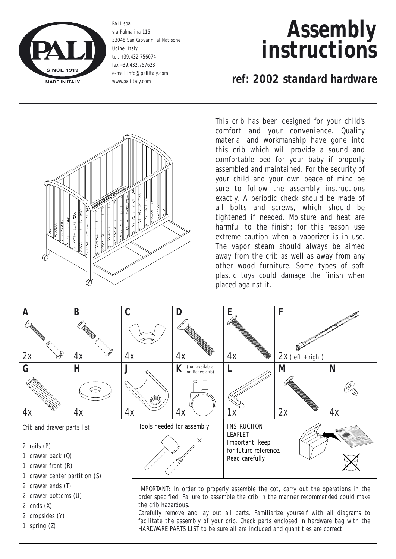

PALI spa via Palmarina 115 33048 San Giovanni al Natisone Udine Italy tel. +39.432.756074 fax +39.432.757623 e-mail info@paliitaly.com www.paliitaly.com

# *Assembly instructions*

## *ref: 2002 standard hardware*

This crib has been designed for your child's comfort and your convenience. Quality material and workmanship have gone into this crib which will provide a sound and comfortable bed for your baby if properly assembled and maintained. For the security of your child and your own peace of mind be sure to follow the assembly instructions exactly. A periodic check should be made of all bolts and screws, which should be tightened if needed. Moisture and heat are harmful to the finish; for this reason use extreme caution when a vaporizer is in use. The vapor steam should always be aimed away from the crib as well as away from any other wood furniture. Some types of soft plastic toys could damage the finish when placed against it.

| A<br>2x                                                                                                                   | Β<br>4х | $\mathcal C$<br>4x | 4х                                                                                                                                                                                                                                                                                                                                                                                                                                                        | E<br>4x | F<br>$2x$ (left + right)                                                                           |                        |  |
|---------------------------------------------------------------------------------------------------------------------------|---------|--------------------|-----------------------------------------------------------------------------------------------------------------------------------------------------------------------------------------------------------------------------------------------------------------------------------------------------------------------------------------------------------------------------------------------------------------------------------------------------------|---------|----------------------------------------------------------------------------------------------------|------------------------|--|
| G<br>4x                                                                                                                   | Н<br>4х | 4x                 | (not available<br>on Renee crib)<br>且<br>4x                                                                                                                                                                                                                                                                                                                                                                                                               | 1x      | М<br>2x                                                                                            | $\boldsymbol{N}$<br>4х |  |
| Crib and drawer parts list<br>2 rails $(P)$<br>1 drawer back $(0)$<br>1 drawer front (R)<br>1 drawer center partition (S) |         |                    | Tools needed for assembly                                                                                                                                                                                                                                                                                                                                                                                                                                 |         | <b>INSTRUCTION</b><br><b>LEAFLET</b><br>Important, keep<br>for future reference.<br>Read carefully |                        |  |
| 2 drawer ends (T)<br>2 drawer bottoms (U)<br>2 ends $(X)$<br>2 dropsides (Y)<br>1 spring $(Z)$                            |         |                    | IMPORTANT: In order to properly assemble the cot, carry out the operations in the<br>order specified. Failure to assemble the crib in the manner recommended could make<br>the crib hazardous.<br>Carefully remove and lay out all parts. Familiarize yourself with all diagrams to<br>facilitate the assembly of your crib. Check parts enclosed in hardware bag with the<br>HARDWARE PARTS LIST to be sure all are included and quantities are correct. |         |                                                                                                    |                        |  |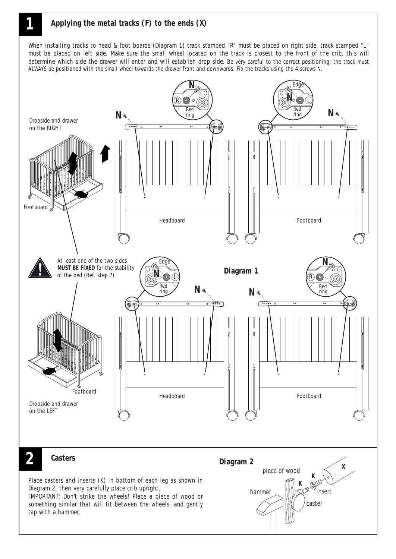

When installing tracks to head & foot boards (Diagram 1) track stamped "R" must be placed on right side, track stamped "L" must be placed on left side. Make sure the small wheel located on the track is closest to the front of the crib, this will determine which side the drawer will enter and will establish drop side. Be very careful to the correct positioning: the track must ALWAYS be positioned with the small wheel towards the drawer front and downwards. Fix the tracks using the 4 screws N.

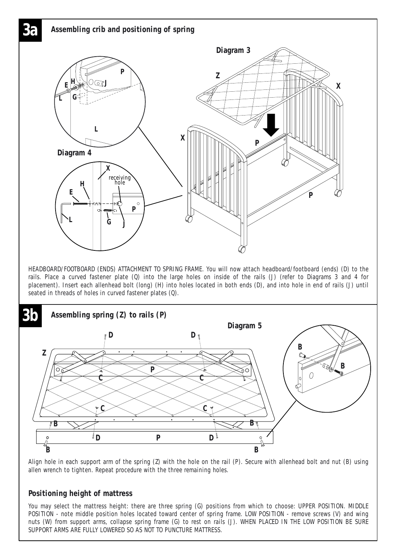

Align hole in each support arm of the spring (Z) with the hole on the rail (P). Secure with allenhead bolt and nut (B) using allen wrench to tighten. Repeat procedure with the three remaining holes.

#### **Positioning height of mattress**

You may select the mattress height: there are three spring (G) positions from which to choose: UPPER POSITION. MIDDLE POSITION - note middle position holes located toward center of spring frame. LOW POSITION - remove screws (V) and wing nuts (W) from support arms, collapse spring frame (G) to rest on rails (J). WHEN PLACED IN THE LOW POSITION BE SURE SUPPORT ARMS ARE FULLY LOWERED SO AS NOT TO PUNCTURE MATTRESS.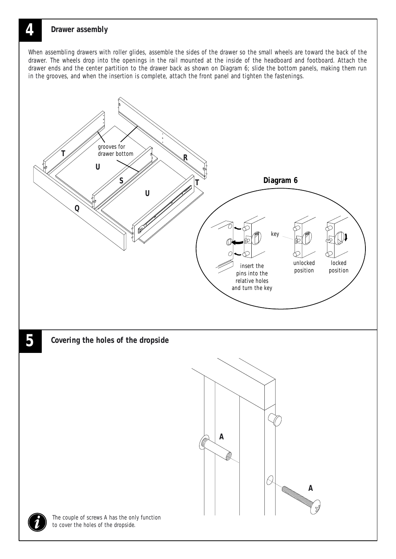### **4 Drawer assembly**

When assembling drawers with roller glides, assemble the sides of the drawer so the small wheels are toward the back of the drawer. The wheels drop into the openings in the rail mounted at the inside of the headboard and footboard. Attach the drawer ends and the center partition to the drawer back as shown on Diagram 6; slide the bottom panels, making them run in the grooves, and when the insertion is complete, attach the front panel and tighten the fastenings.

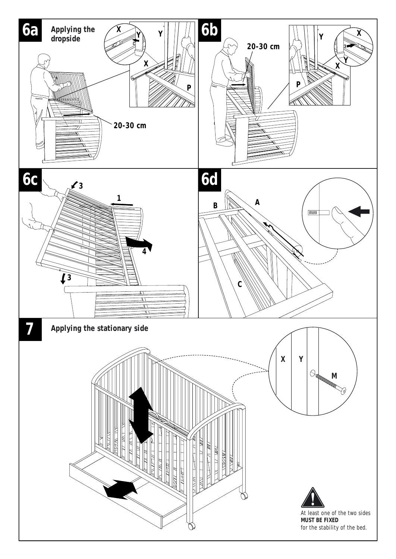